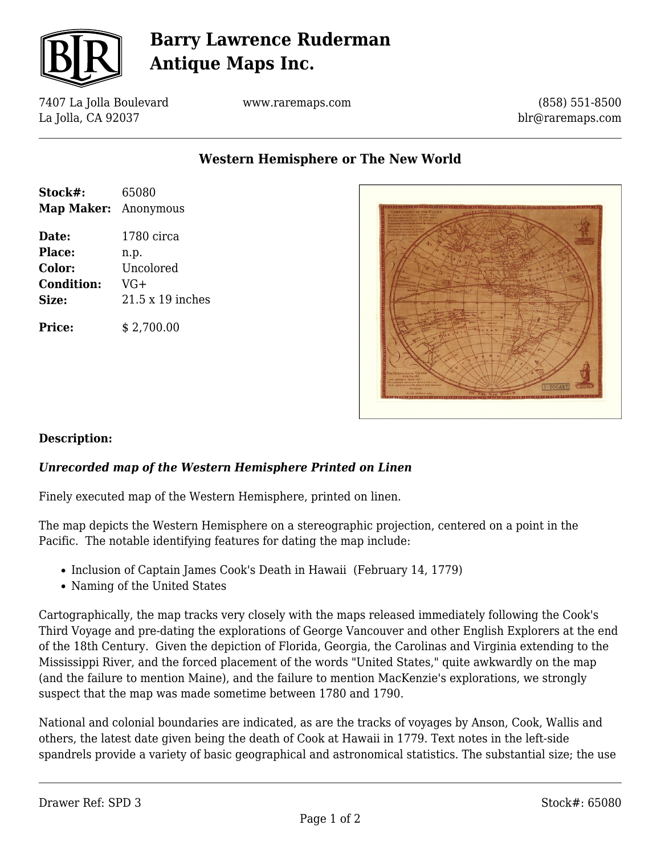

# **Barry Lawrence Ruderman Antique Maps Inc.**

7407 La Jolla Boulevard La Jolla, CA 92037

www.raremaps.com

(858) 551-8500 blr@raremaps.com

**Western Hemisphere or The New World**

| Stock#:                     | 65080            |
|-----------------------------|------------------|
| <b>Map Maker:</b> Anonymous |                  |
| Date:                       | 1780 circa       |
| Place:                      | n.p.             |
| Color:                      | Uncolored        |
| <b>Condition:</b>           | $VG+$            |
| Size:                       | 21.5 x 19 inches |
| <b>Price:</b>               | \$2,700.00       |



## **Description:**

## *Unrecorded map of the Western Hemisphere Printed on Linen*

Finely executed map of the Western Hemisphere, printed on linen.

The map depicts the Western Hemisphere on a stereographic projection, centered on a point in the Pacific. The notable identifying features for dating the map include:

- Inclusion of Captain James Cook's Death in Hawaii (February 14, 1779)
- Naming of the United States

Cartographically, the map tracks very closely with the maps released immediately following the Cook's Third Voyage and pre-dating the explorations of George Vancouver and other English Explorers at the end of the 18th Century. Given the depiction of Florida, Georgia, the Carolinas and Virginia extending to the Mississippi River, and the forced placement of the words "United States," quite awkwardly on the map (and the failure to mention Maine), and the failure to mention MacKenzie's explorations, we strongly suspect that the map was made sometime between 1780 and 1790.

National and colonial boundaries are indicated, as are the tracks of voyages by Anson, Cook, Wallis and others, the latest date given being the death of Cook at Hawaii in 1779. Text notes in the left-side spandrels provide a variety of basic geographical and astronomical statistics. The substantial size; the use